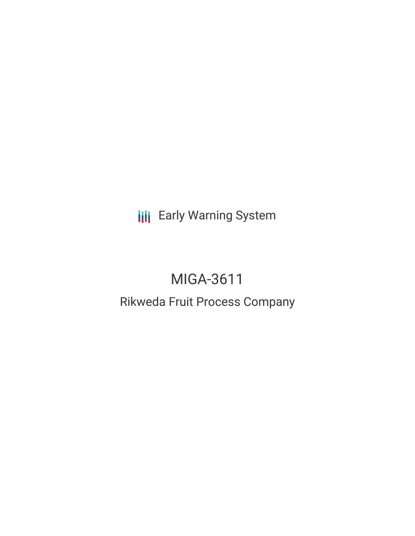**III** Early Warning System

# MIGA-3611

## Rikweda Fruit Process Company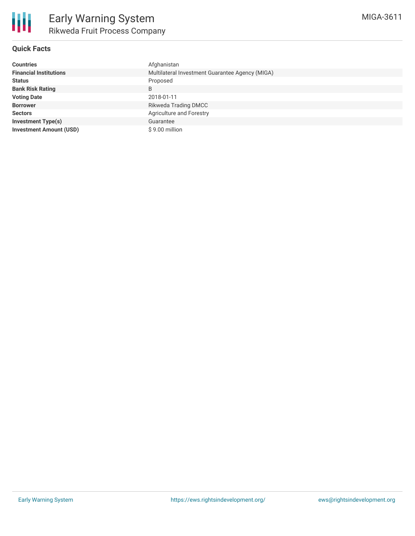

### **Quick Facts**

| <b>Countries</b>               | Afghanistan                                     |
|--------------------------------|-------------------------------------------------|
| <b>Financial Institutions</b>  | Multilateral Investment Guarantee Agency (MIGA) |
| <b>Status</b>                  | Proposed                                        |
| <b>Bank Risk Rating</b>        | B                                               |
| <b>Voting Date</b>             | 2018-01-11                                      |
| <b>Borrower</b>                | <b>Rikweda Trading DMCC</b>                     |
| <b>Sectors</b>                 | Agriculture and Forestry                        |
| <b>Investment Type(s)</b>      | Guarantee                                       |
| <b>Investment Amount (USD)</b> | \$9.00 million                                  |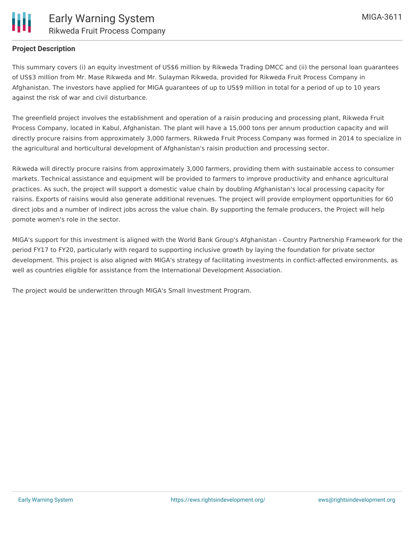

#### **Project Description**

This summary covers (i) an equity investment of US\$6 million by Rikweda Trading DMCC and (ii) the personal loan guarantees of US\$3 million from Mr. Mase Rikweda and Mr. Sulayman Rikweda, provided for Rikweda Fruit Process Company in Afghanistan. The investors have applied for MIGA guarantees of up to US\$9 million in total for a period of up to 10 years against the risk of war and civil disturbance.

The greenfield project involves the establishment and operation of a raisin producing and processing plant, Rikweda Fruit Process Company, located in Kabul, Afghanistan. The plant will have a 15,000 tons per annum production capacity and will directly procure raisins from approximately 3,000 farmers. Rikweda Fruit Process Company was formed in 2014 to specialize in the agricultural and horticultural development of Afghanistan's raisin production and processing sector.

Rikweda will directly procure raisins from approximately 3,000 farmers, providing them with sustainable access to consumer markets. Technical assistance and equipment will be provided to farmers to improve productivity and enhance agricultural practices. As such, the project will support a domestic value chain by doubling Afghanistan's local processing capacity for raisins. Exports of raisins would also generate additional revenues. The project will provide employment opportunities for 60 direct jobs and a number of indirect jobs across the value chain. By supporting the female producers, the Project will help pomote women's role in the sector.

MIGA's support for this investment is aligned with the World Bank Group's Afghanistan - Country Partnership Framework for the period FY17 to FY20, particularly with regard to supporting inclusive growth by laying the foundation for private sector development. This project is also aligned with MIGA's strategy of facilitating investments in conflict-affected environments, as well as countries eligible for assistance from the International Development Association.

The project would be underwritten through MIGA's Small Investment Program.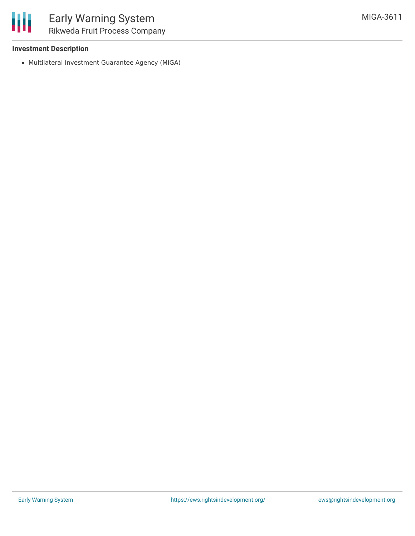#### **Investment Description**

Multilateral Investment Guarantee Agency (MIGA)